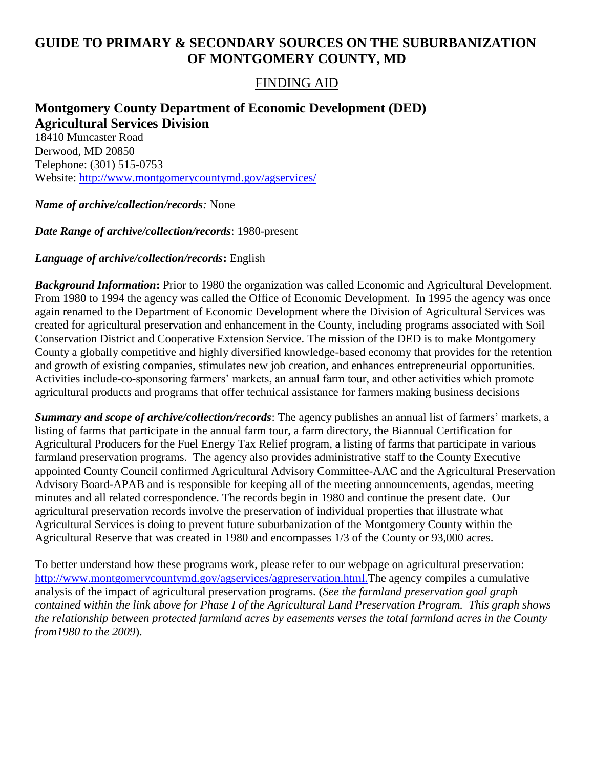# **GUIDE TO PRIMARY & SECONDARY SOURCES ON THE SUBURBANIZATION OF MONTGOMERY COUNTY, MD**

# FINDING AID

## **Montgomery County Department of Economic Development (DED) Agricultural Services Division** 18410 Muncaster Road Derwood, MD 20850 Telephone: (301) 515-0753

Website:<http://www.montgomerycountymd.gov/agservices/>

#### *Name of archive/collection/records:* None

#### *Date Range of archive/collection/records*: 1980-present

### *Language of archive/collection/records***:** English

*Background Information***:** Prior to 1980 the organization was called Economic and Agricultural Development. From 1980 to 1994 the agency was called the Office of Economic Development. In 1995 the agency was once again renamed to the Department of Economic Development where the Division of Agricultural Services was created for agricultural preservation and enhancement in the County, including programs associated with Soil Conservation District and Cooperative Extension Service. The mission of the DED is to make Montgomery County a globally competitive and highly diversified knowledge-based economy that provides for the retention and growth of existing companies, stimulates new job creation, and enhances entrepreneurial opportunities. Activities include-co-sponsoring farmers' markets, an annual farm tour, and other activities which promote agricultural products and programs that offer technical assistance for farmers making business decisions

*Summary and scope of archive/collection/records*: The agency publishes an annual list of farmers' markets, a listing of farms that participate in the annual farm tour, a farm directory, the Biannual Certification for Agricultural Producers for the Fuel Energy Tax Relief program, a listing of farms that participate in various farmland preservation programs. The agency also provides administrative staff to the County Executive appointed County Council confirmed Agricultural Advisory Committee-AAC and the Agricultural Preservation Advisory Board-APAB and is responsible for keeping all of the meeting announcements, agendas, meeting minutes and all related correspondence. The records begin in 1980 and continue the present date. Our agricultural preservation records involve the preservation of individual properties that illustrate what Agricultural Services is doing to prevent future suburbanization of the Montgomery County within the Agricultural Reserve that was created in 1980 and encompasses 1/3 of the County or 93,000 acres.

To better understand how these programs work, please refer to our webpage on agricultural preservation: <http://www.montgomerycountymd.gov/agservices/agpreservation.html.The> agency compiles a cumulative analysis of the impact of agricultural preservation programs. (*See the farmland preservation goal graph contained within the link above for Phase I of the Agricultural Land Preservation Program. This graph shows the relationship between protected farmland acres by easements verses the total farmland acres in the County from1980 to the 2009*).